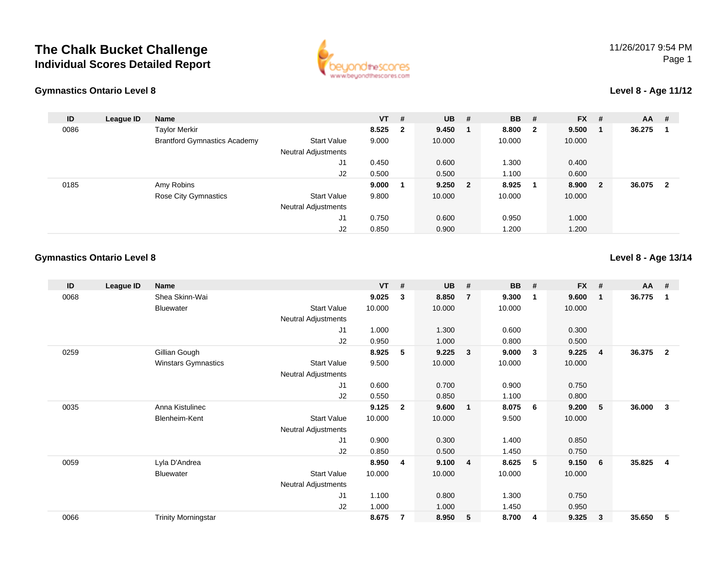## **The Chalk Bucket ChallengeIndividual Scores Detailed Report**



#### **Gymnastics Ontario Level 8**

#### **Level 8 - Age 11/12**

| ID   | League ID | <b>Name</b>                         |                     | $VT$ # |                         | <b>UB</b> | - #              | <b>BB</b> | #                       | <b>FX</b> | #            | $AA$ # |                |
|------|-----------|-------------------------------------|---------------------|--------|-------------------------|-----------|------------------|-----------|-------------------------|-----------|--------------|--------|----------------|
| 0086 |           | <b>Taylor Merkir</b>                |                     | 8.525  | $\overline{\mathbf{2}}$ | 9.450     | $\blacksquare$ 1 | 8.800     | $\overline{\mathbf{2}}$ | 9.500     |              | 36.275 |                |
|      |           | <b>Brantford Gymnastics Academy</b> | <b>Start Value</b>  | 9.000  |                         | 10.000    |                  | 10.000    |                         | 10.000    |              |        |                |
|      |           |                                     | Neutral Adjustments |        |                         |           |                  |           |                         |           |              |        |                |
|      |           |                                     | J1                  | 0.450  |                         | 0.600     |                  | 1.300     |                         | 0.400     |              |        |                |
|      |           |                                     | J2                  | 0.500  |                         | 0.500     |                  | 1.100     |                         | 0.600     |              |        |                |
| 0185 |           | Amy Robins                          |                     | 9.000  |                         | $9.250$ 2 |                  | 8.925     | - 1                     | 8.900     | $\mathbf{2}$ | 36.075 | $\overline{2}$ |
|      |           | <b>Rose City Gymnastics</b>         | Start Value         | 9.800  |                         | 10.000    |                  | 10.000    |                         | 10.000    |              |        |                |
|      |           |                                     | Neutral Adjustments |        |                         |           |                  |           |                         |           |              |        |                |
|      |           |                                     | J1                  | 0.750  |                         | 0.600     |                  | 0.950     |                         | 1.000     |              |        |                |
|      |           |                                     | J2                  | 0.850  |                         | 0.900     |                  | 1.200     |                         | 1.200     |              |        |                |

### **Gymnastics Ontario Level 8**

**Level 8 - Age 13/14**

| ID   | League ID | Name                       |                            | <b>VT</b> | #              | <b>UB</b> | #                       | <b>BB</b> | #            | <b>FX</b> | #           | AA     | #              |
|------|-----------|----------------------------|----------------------------|-----------|----------------|-----------|-------------------------|-----------|--------------|-----------|-------------|--------|----------------|
| 0068 |           | Shea Skinn-Wai             |                            | 9.025     | 3              | 8.850     | $\overline{7}$          | 9.300     | $\mathbf 1$  | 9.600     | $\mathbf 1$ | 36.775 | 1              |
|      |           | Bluewater                  | <b>Start Value</b>         | 10.000    |                | 10.000    |                         | 10.000    |              | 10.000    |             |        |                |
|      |           |                            | <b>Neutral Adjustments</b> |           |                |           |                         |           |              |           |             |        |                |
|      |           |                            | J1                         | 1.000     |                | 1.300     |                         | 0.600     |              | 0.300     |             |        |                |
|      |           |                            | J2                         | 0.950     |                | 1.000     |                         | 0.800     |              | 0.500     |             |        |                |
| 0259 |           | Gillian Gough              |                            | 8.925     | 5              | 9.225     | 3 <sup>2</sup>          | 9.000     | $\mathbf{3}$ | 9.225     | -4          | 36.375 | $\overline{2}$ |
|      |           | <b>Winstars Gymnastics</b> | <b>Start Value</b>         | 9.500     |                | 10.000    |                         | 10.000    |              | 10.000    |             |        |                |
|      |           |                            | <b>Neutral Adjustments</b> |           |                |           |                         |           |              |           |             |        |                |
|      |           |                            | J1                         | 0.600     |                | 0.700     |                         | 0.900     |              | 0.750     |             |        |                |
|      |           |                            | J <sub>2</sub>             | 0.550     |                | 0.850     |                         | 1.100     |              | 0.800     |             |        |                |
| 0035 |           | Anna Kistulinec            |                            | 9.125     | $\mathbf{2}$   | 9.600     | $\overline{1}$          | 8.075     | - 6          | 9.200     | 5           | 36.000 | 3              |
|      |           | Blenheim-Kent              | <b>Start Value</b>         | 10.000    |                | 10.000    |                         | 9.500     |              | 10.000    |             |        |                |
|      |           |                            | Neutral Adjustments        |           |                |           |                         |           |              |           |             |        |                |
|      |           |                            | J1                         | 0.900     |                | 0.300     |                         | 1.400     |              | 0.850     |             |        |                |
|      |           |                            | J <sub>2</sub>             | 0.850     |                | 0.500     |                         | 1.450     |              | 0.750     |             |        |                |
| 0059 |           | Lyla D'Andrea              |                            | 8.950     | 4              | 9.100     | $\overline{\mathbf{4}}$ | 8.625     | -5           | 9.150     | 6           | 35.825 | 4              |
|      |           | <b>Bluewater</b>           | <b>Start Value</b>         | 10.000    |                | 10.000    |                         | 10.000    |              | 10.000    |             |        |                |
|      |           |                            | <b>Neutral Adjustments</b> |           |                |           |                         |           |              |           |             |        |                |
|      |           |                            | J <sub>1</sub>             | 1.100     |                | 0.800     |                         | 1.300     |              | 0.750     |             |        |                |
|      |           |                            | J <sub>2</sub>             | 1.000     |                | 1.000     |                         | 1.450     |              | 0.950     |             |        |                |
| 0066 |           | <b>Trinity Morningstar</b> |                            | 8.675     | $\overline{7}$ | 8.950     | 5                       | 8.700     | -4           | 9.325     | 3           | 35.650 | 5              |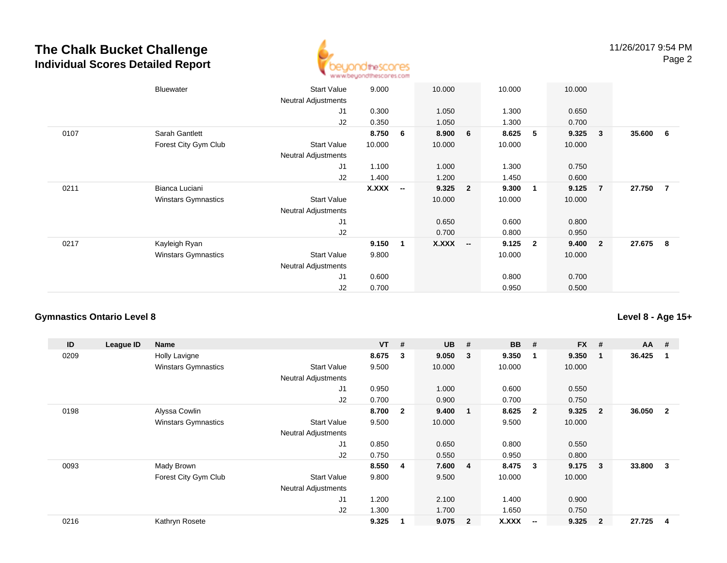## **The Chalk Bucket ChallengeIndividual Scores Detailed Report**



|      | Bluewater                  | <b>Start Value</b><br>Neutral Adjustments | 9.000        |                          | 10.000       |                          | 10.000 |                | 10.000 |                         |        |                         |
|------|----------------------------|-------------------------------------------|--------------|--------------------------|--------------|--------------------------|--------|----------------|--------|-------------------------|--------|-------------------------|
|      |                            | J1                                        | 0.300        |                          | 1.050        |                          | 1.300  |                | 0.650  |                         |        |                         |
|      |                            | J2                                        | 0.350        |                          | 1.050        |                          | 1.300  |                | 0.700  |                         |        |                         |
| 0107 | Sarah Gantlett             |                                           | 8.750        | 6                        | 8.900        | 6                        | 8.625  | 5              | 9.325  | 3                       | 35.600 | $6\overline{6}$         |
|      | Forest City Gym Club       | <b>Start Value</b>                        | 10.000       |                          | 10.000       |                          | 10.000 |                | 10.000 |                         |        |                         |
|      |                            | <b>Neutral Adjustments</b>                |              |                          |              |                          |        |                |        |                         |        |                         |
|      |                            | J <sub>1</sub>                            | 1.100        |                          | 1.000        |                          | 1.300  |                | 0.750  |                         |        |                         |
|      |                            | J2                                        | 1.400        |                          | 1.200        |                          | 1.450  |                | 0.600  |                         |        |                         |
| 0211 | Bianca Luciani             |                                           | <b>X.XXX</b> | $\overline{\phantom{a}}$ | 9.325        | $\overline{\mathbf{2}}$  | 9.300  | 1              | 9.125  | $\overline{7}$          | 27.750 | $\overline{7}$          |
|      | <b>Winstars Gymnastics</b> | <b>Start Value</b>                        |              |                          | 10.000       |                          | 10.000 |                | 10.000 |                         |        |                         |
|      |                            | <b>Neutral Adjustments</b>                |              |                          |              |                          |        |                |        |                         |        |                         |
|      |                            | J <sub>1</sub>                            |              |                          | 0.650        |                          | 0.600  |                | 0.800  |                         |        |                         |
|      |                            | J2                                        |              |                          | 0.700        |                          | 0.800  |                | 0.950  |                         |        |                         |
| 0217 | Kayleigh Ryan              |                                           | 9.150        | $\mathbf{1}$             | <b>X.XXX</b> | $\overline{\phantom{a}}$ | 9.125  | $\overline{2}$ | 9.400  | $\overline{\mathbf{2}}$ | 27.675 | $\overline{\mathbf{8}}$ |
|      | <b>Winstars Gymnastics</b> | <b>Start Value</b>                        | 9.800        |                          |              |                          | 10.000 |                | 10.000 |                         |        |                         |
|      |                            | <b>Neutral Adjustments</b>                |              |                          |              |                          |        |                |        |                         |        |                         |
|      |                            | J1                                        | 0.600        |                          |              |                          | 0.800  |                | 0.700  |                         |        |                         |
|      |                            | J2                                        | 0.700        |                          |              |                          | 0.950  |                | 0.500  |                         |        |                         |
|      |                            |                                           |              |                          |              |                          |        |                |        |                         |        |                         |

#### **Gymnastics Ontario Level 8**

**ID League ID Name VT # UB # BB # FX # AA #** 0209 Holly Lavigne **8.675 <sup>3</sup> 9.050 <sup>3</sup> 9.350 <sup>1</sup> 9.350 <sup>1</sup> 36.425 <sup>1</sup>** Winstars Gymnastics Start Valuee 9.500 10.000 10.000 10.000 Neutral Adjustments J1 0.950 1.000 0.600 0.550 J2 0.700 0.900 0.700 0.750 0198 Alyssa Cowlin **8.700 <sup>2</sup> 9.400 <sup>1</sup> 8.625 <sup>2</sup> 9.325 <sup>2</sup> 36.050 <sup>2</sup>** Winstars Gymnastics Start Value 9.500 10.000 9.500 10.000 Neutral Adjustments J1 0.850 0.650 0.800 0.550 J2 0.750 0.550 0.950 0.800 0093 Mady Brown **8.550 <sup>4</sup> 7.600 <sup>4</sup> 8.475 <sup>3</sup> 9.175 <sup>3</sup> 33.800 <sup>3</sup>** Forest City Gym Club Start Value 9.800 9.500 10.000 10.000 Neutral Adjustments J1 1.200 2.100 1.400 0.900 J2 1.300 1.700 1.650 0.750 0216 Kathryn Rosete **9.325 <sup>1</sup> 9.075 <sup>2</sup> X.XXX-- 9.325 <sup>2</sup> 27.725 <sup>4</sup>**

**Level 8 - Age 15+**